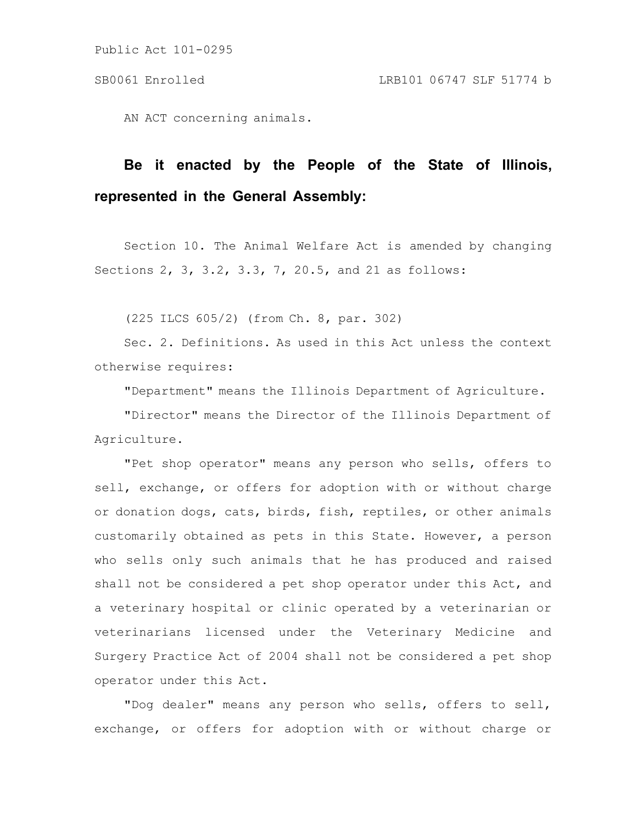AN ACT concerning animals.

## **Be it enacted by the People of the State of Illinois, represented in the General Assembly:**

Section 10. The Animal Welfare Act is amended by changing Sections 2, 3, 3.2, 3.3, 7, 20.5, and 21 as follows:

(225 ILCS 605/2) (from Ch. 8, par. 302)

Sec. 2. Definitions. As used in this Act unless the context otherwise requires:

"Department" means the Illinois Department of Agriculture.

"Director" means the Director of the Illinois Department of Agriculture.

"Pet shop operator" means any person who sells, offers to sell, exchange, or offers for adoption with or without charge or donation dogs, cats, birds, fish, reptiles, or other animals customarily obtained as pets in this State. However, a person who sells only such animals that he has produced and raised shall not be considered a pet shop operator under this Act, and a veterinary hospital or clinic operated by a veterinarian or veterinarians licensed under the Veterinary Medicine and Surgery Practice Act of 2004 shall not be considered a pet shop operator under this Act.

"Dog dealer" means any person who sells, offers to sell, exchange, or offers for adoption with or without charge or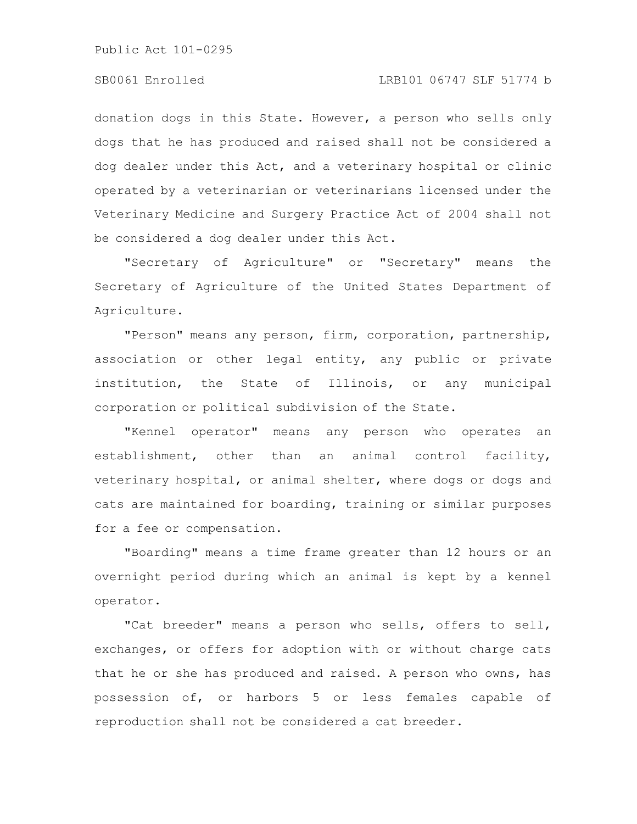donation dogs in this State. However, a person who sells only dogs that he has produced and raised shall not be considered a dog dealer under this Act, and a veterinary hospital or clinic operated by a veterinarian or veterinarians licensed under the Veterinary Medicine and Surgery Practice Act of 2004 shall not be considered a dog dealer under this Act.

"Secretary of Agriculture" or "Secretary" means the Secretary of Agriculture of the United States Department of Agriculture.

"Person" means any person, firm, corporation, partnership, association or other legal entity, any public or private institution, the State of Illinois, or any municipal corporation or political subdivision of the State.

"Kennel operator" means any person who operates an establishment, other than an animal control facility, veterinary hospital, or animal shelter, where dogs or dogs and cats are maintained for boarding, training or similar purposes for a fee or compensation.

"Boarding" means a time frame greater than 12 hours or an overnight period during which an animal is kept by a kennel operator.

"Cat breeder" means a person who sells, offers to sell, exchanges, or offers for adoption with or without charge cats that he or she has produced and raised. A person who owns, has possession of, or harbors 5 or less females capable of reproduction shall not be considered a cat breeder.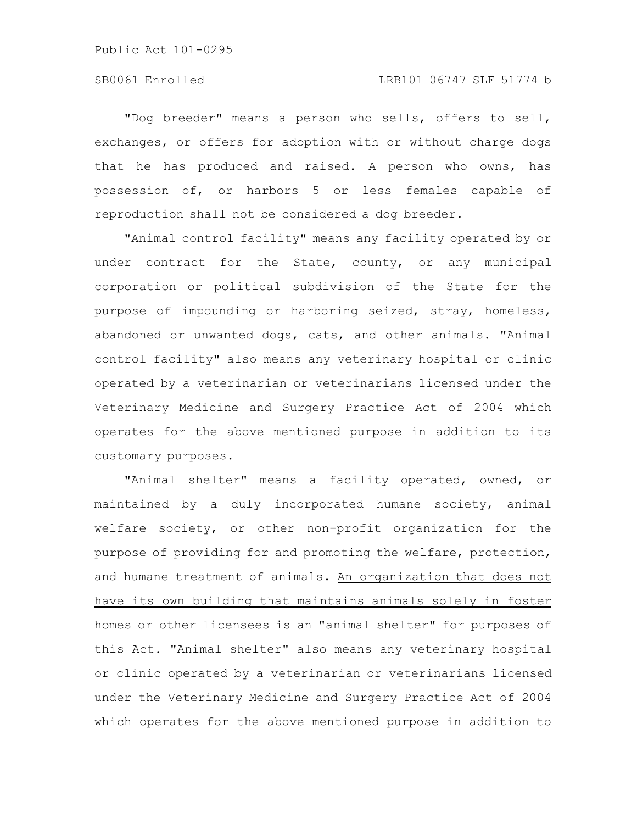"Dog breeder" means a person who sells, offers to sell, exchanges, or offers for adoption with or without charge dogs that he has produced and raised. A person who owns, has possession of, or harbors 5 or less females capable of reproduction shall not be considered a dog breeder.

"Animal control facility" means any facility operated by or under contract for the State, county, or any municipal corporation or political subdivision of the State for the purpose of impounding or harboring seized, stray, homeless, abandoned or unwanted dogs, cats, and other animals. "Animal control facility" also means any veterinary hospital or clinic operated by a veterinarian or veterinarians licensed under the Veterinary Medicine and Surgery Practice Act of 2004 which operates for the above mentioned purpose in addition to its customary purposes.

"Animal shelter" means a facility operated, owned, or maintained by a duly incorporated humane society, animal welfare society, or other non-profit organization for the purpose of providing for and promoting the welfare, protection, and humane treatment of animals. An organization that does not have its own building that maintains animals solely in foster homes or other licensees is an "animal shelter" for purposes of this Act. "Animal shelter" also means any veterinary hospital or clinic operated by a veterinarian or veterinarians licensed under the Veterinary Medicine and Surgery Practice Act of 2004 which operates for the above mentioned purpose in addition to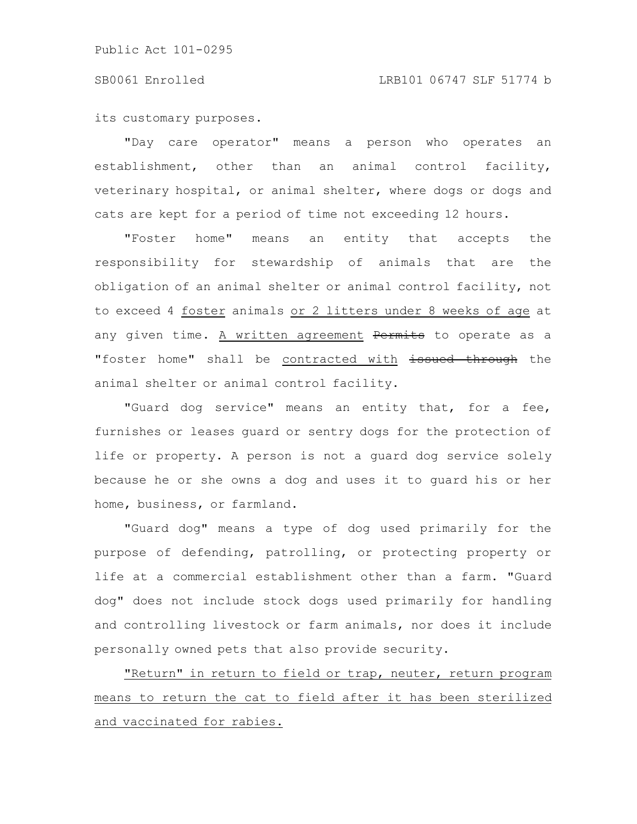its customary purposes.

"Day care operator" means a person who operates an establishment, other than an animal control facility, veterinary hospital, or animal shelter, where dogs or dogs and cats are kept for a period of time not exceeding 12 hours.

"Foster home" means an entity that accepts the responsibility for stewardship of animals that are the obligation of an animal shelter or animal control facility, not to exceed 4 foster animals or 2 litters under 8 weeks of age at any given time. A written agreement Permits to operate as a "foster home" shall be contracted with issued through the animal shelter or animal control facility.

"Guard dog service" means an entity that, for a fee, furnishes or leases guard or sentry dogs for the protection of life or property. A person is not a guard dog service solely because he or she owns a dog and uses it to guard his or her home, business, or farmland.

"Guard dog" means a type of dog used primarily for the purpose of defending, patrolling, or protecting property or life at a commercial establishment other than a farm. "Guard dog" does not include stock dogs used primarily for handling and controlling livestock or farm animals, nor does it include personally owned pets that also provide security.

"Return" in return to field or trap, neuter, return program means to return the cat to field after it has been sterilized and vaccinated for rabies.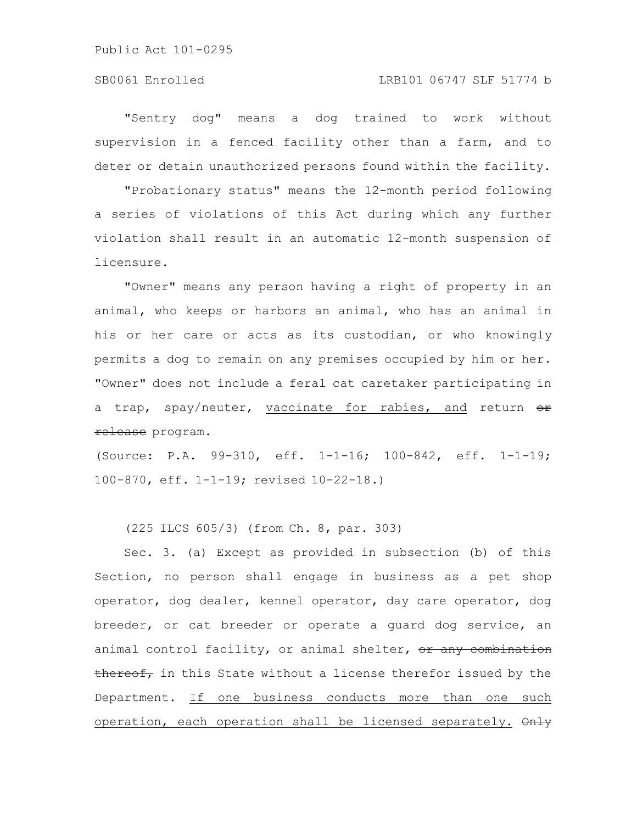## SB0061 Enrolled LRB101 06747 SLF 51774 b

"Sentry dog" means a dog trained to work without supervision in a fenced facility other than a farm, and to deter or detain unauthorized persons found within the facility.

"Probationary status" means the 12-month period following a series of violations of this Act during which any further violation shall result in an automatic 12-month suspension of licensure.

"Owner" means any person having a right of property in an animal, who keeps or harbors an animal, who has an animal in his or her care or acts as its custodian, or who knowingly permits a dog to remain on any premises occupied by him or her. "Owner" does not include a feral cat caretaker participating in a trap, spay/neuter, vaccinate for rabies, and return  $\theta$ r release program.

(Source: P.A. 99-310, eff. 1-1-16; 100-842, eff. 1-1-19; 100-870, eff. 1-1-19; revised 10-22-18.)

(225 ILCS 605/3) (from Ch. 8, par. 303)

Sec. 3. (a) Except as provided in subsection (b) of this Section, no person shall engage in business as a pet shop operator, dog dealer, kennel operator, day care operator, dog breeder, or cat breeder or operate a guard dog service, an animal control facility, or animal shelter, or any combination thereof, in this State without a license therefor issued by the Department. If one business conducts more than one such operation, each operation shall be licensed separately. Only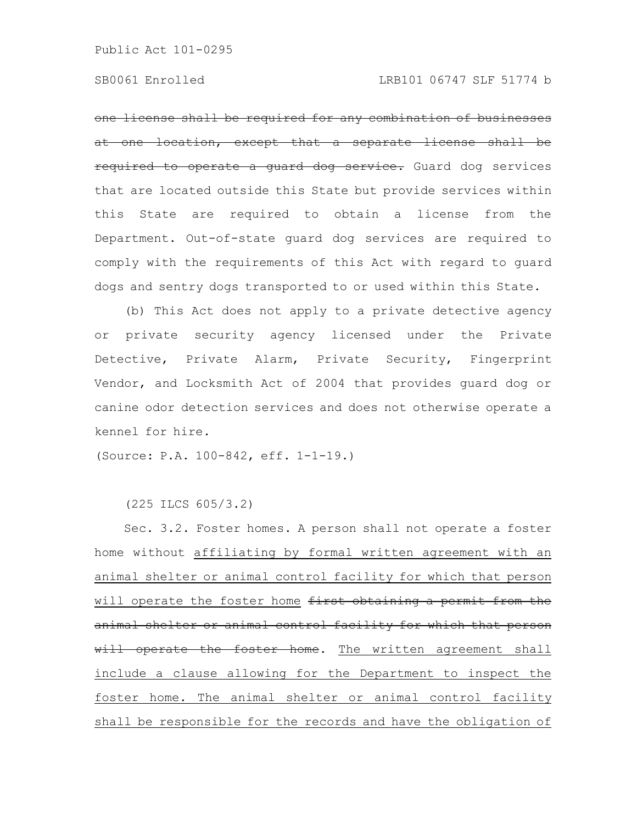one license shall be required for any combination of businesses at one location, except that a separate license shall be required to operate a guard dog service. Guard dog services that are located outside this State but provide services within this State are required to obtain a license from the Department. Out-of-state guard dog services are required to comply with the requirements of this Act with regard to guard dogs and sentry dogs transported to or used within this State.

(b) This Act does not apply to a private detective agency or private security agency licensed under the Private Detective, Private Alarm, Private Security, Fingerprint Vendor, and Locksmith Act of 2004 that provides guard dog or canine odor detection services and does not otherwise operate a kennel for hire.

(Source: P.A. 100-842, eff. 1-1-19.)

(225 ILCS 605/3.2)

Sec. 3.2. Foster homes. A person shall not operate a foster home without affiliating by formal written agreement with an animal shelter or animal control facility for which that person will operate the foster home first obtaining a permit from the animal shelter or animal control facility for which that person will operate the foster home. The written agreement shall include a clause allowing for the Department to inspect the foster home. The animal shelter or animal control facility shall be responsible for the records and have the obligation of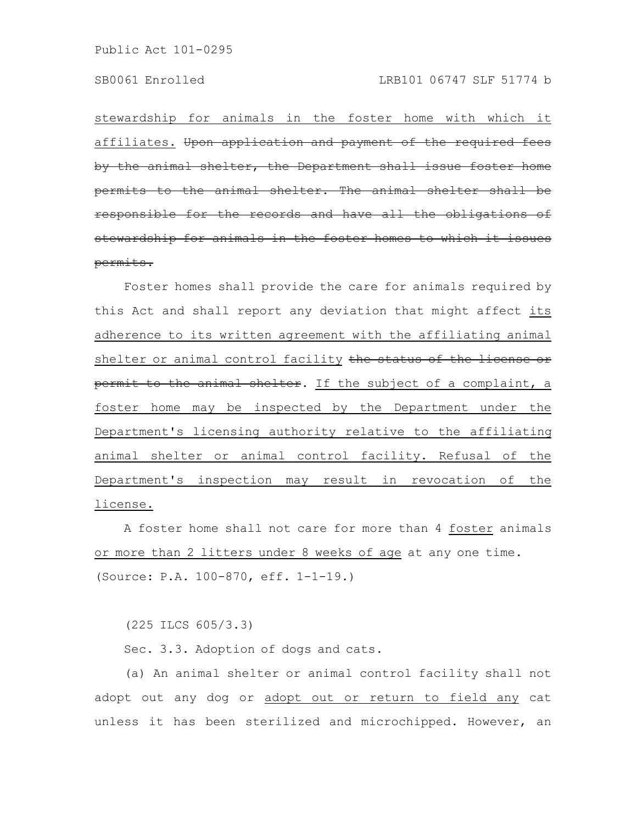stewardship for animals in the foster home with which it affiliates. Upon application and payment of the required fees by the animal shelter, the Department shall issue foster permits to the animal shelter. The animal responsible for the records and have all the obligations of stewardship for animals in the foster homes to which permits.

Foster homes shall provide the care for animals required by this Act and shall report any deviation that might affect its adherence to its written agreement with the affiliating animal shelter or animal control facility the status of the license or permit to the animal shelter. If the subject of a complaint, a foster home may be inspected by the Department under the Department's licensing authority relative to the affiliating animal shelter or animal control facility. Refusal of the Department's inspection may result in revocation of the license.

A foster home shall not care for more than 4 foster animals or more than 2 litters under 8 weeks of age at any one time. (Source: P.A. 100-870, eff. 1-1-19.)

(225 ILCS 605/3.3)

Sec. 3.3. Adoption of dogs and cats.

(a) An animal shelter or animal control facility shall not adopt out any dog or adopt out or return to field any cat unless it has been sterilized and microchipped. However, an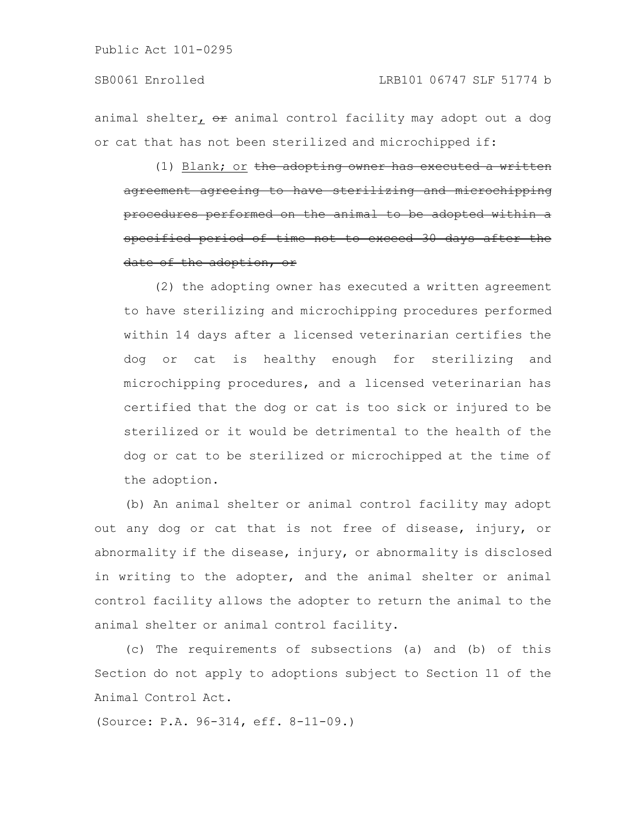animal shelter,  $\Theta$  animal control facility may adopt out a dog or cat that has not been sterilized and microchipped if:

(1) Blank; or the adopting owner has executed a written agreement agreeing to have sterilizing and microchipping procedures performed on the animal to be adopted within a specified period of time not to exceed 30 days after the date of the adoption, or

(2) the adopting owner has executed a written agreement to have sterilizing and microchipping procedures performed within 14 days after a licensed veterinarian certifies the dog or cat is healthy enough for sterilizing and microchipping procedures, and a licensed veterinarian has certified that the dog or cat is too sick or injured to be sterilized or it would be detrimental to the health of the dog or cat to be sterilized or microchipped at the time of the adoption.

(b) An animal shelter or animal control facility may adopt out any dog or cat that is not free of disease, injury, or abnormality if the disease, injury, or abnormality is disclosed in writing to the adopter, and the animal shelter or animal control facility allows the adopter to return the animal to the animal shelter or animal control facility.

(c) The requirements of subsections (a) and (b) of this Section do not apply to adoptions subject to Section 11 of the Animal Control Act.

(Source: P.A. 96-314, eff. 8-11-09.)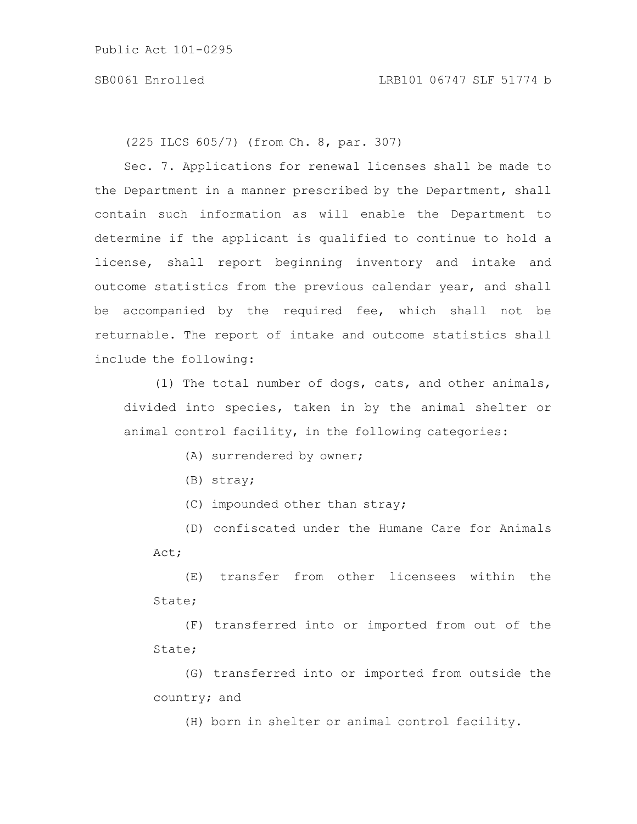(225 ILCS 605/7) (from Ch. 8, par. 307)

Sec. 7. Applications for renewal licenses shall be made to the Department in a manner prescribed by the Department, shall contain such information as will enable the Department to determine if the applicant is qualified to continue to hold a license, shall report beginning inventory and intake and outcome statistics from the previous calendar year, and shall be accompanied by the required fee, which shall not be returnable. The report of intake and outcome statistics shall include the following:

(1) The total number of dogs, cats, and other animals, divided into species, taken in by the animal shelter or animal control facility, in the following categories:

(A) surrendered by owner;

(B) stray;

(C) impounded other than stray;

(D) confiscated under the Humane Care for Animals Act;

(E) transfer from other licensees within the State;

(F) transferred into or imported from out of the State;

(G) transferred into or imported from outside the country; and

(H) born in shelter or animal control facility.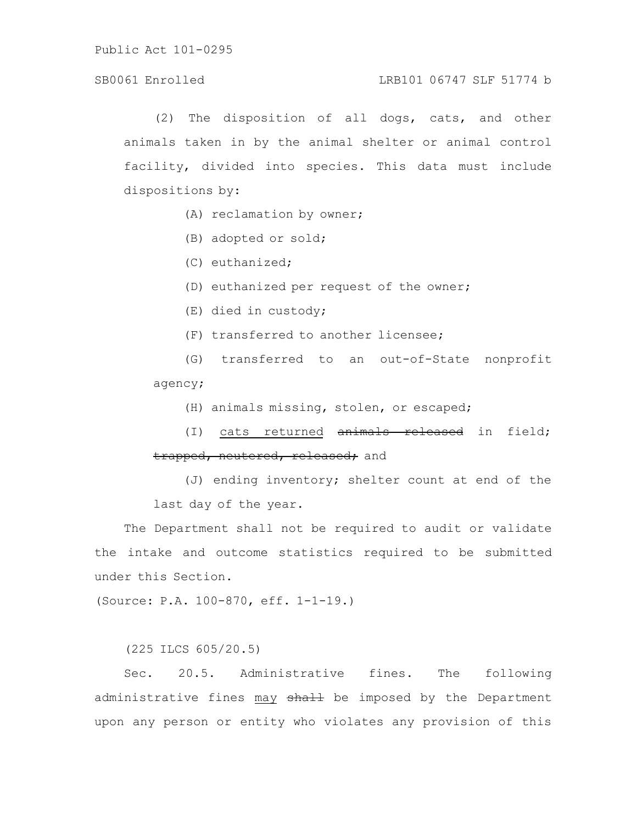## SB0061 Enrolled LRB101 06747 SLF 51774 b

(2) The disposition of all dogs, cats, and other animals taken in by the animal shelter or animal control facility, divided into species. This data must include dispositions by:

(A) reclamation by owner;

(B) adopted or sold;

(C) euthanized;

(D) euthanized per request of the owner;

(E) died in custody;

(F) transferred to another licensee;

(G) transferred to an out-of-State nonprofit agency;

(H) animals missing, stolen, or escaped;

(I) cats returned animals released in field; trapped, neutered, released; and

(J) ending inventory; shelter count at end of the last day of the year.

The Department shall not be required to audit or validate the intake and outcome statistics required to be submitted under this Section.

(Source: P.A. 100-870, eff. 1-1-19.)

(225 ILCS 605/20.5)

Sec. 20.5. Administrative fines. The following administrative fines may shall be imposed by the Department upon any person or entity who violates any provision of this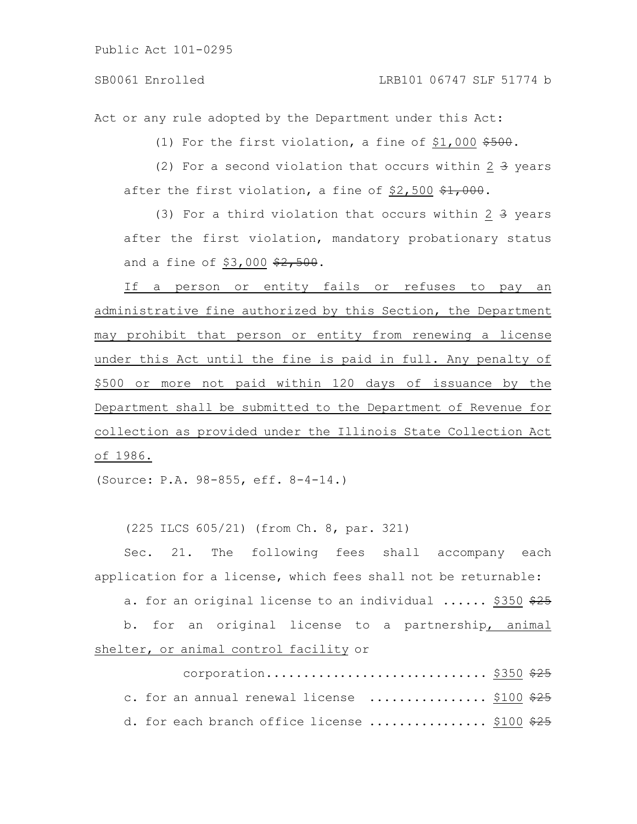Act or any rule adopted by the Department under this Act:

(1) For the first violation, a fine of  $$1,000$   $$500$ .

(2) For a second violation that occurs within  $2 \frac{3}{7}$  years after the first violation, a fine of  $$2,500$   $$1,000$ .

(3) For a third violation that occurs within  $2 \frac{1}{3}$  years after the first violation, mandatory probationary status and a fine of  $$3,000$   $$2,500$ .

If a person or entity fails or refuses to pay an administrative fine authorized by this Section, the Department may prohibit that person or entity from renewing a license under this Act until the fine is paid in full. Any penalty of \$500 or more not paid within 120 days of issuance by the Department shall be submitted to the Department of Revenue for collection as provided under the Illinois State Collection Act of 1986.

(Source: P.A. 98-855, eff. 8-4-14.)

(225 ILCS 605/21) (from Ch. 8, par. 321)

Sec. 21. The following fees shall accompany each application for a license, which fees shall not be returnable:

a. for an original license to an individual ...... \$350 \$25 b. for an original license to a partnership, animal shelter, or animal control facility or

| corporation \$350 $\frac{25}{725}$            |  |
|-----------------------------------------------|--|
| c. for an annual renewal license  \$100 \$25  |  |
| d. for each branch office license  \$100 \$25 |  |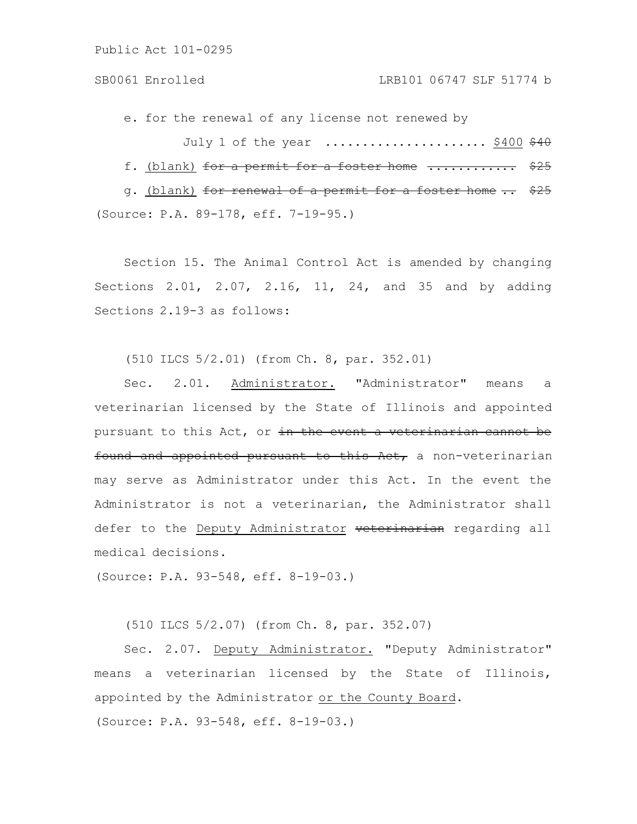e. for the renewal of any license not renewed by July 1 of the year  $\ldots \ldots \ldots \ldots \ldots$ . \$400 \$40 f. (blank) for a permit for a foster home .............. \$25 g. (blank) for renewal of a permit for a foster home .. \$25

(Source: P.A. 89-178, eff. 7-19-95.)

Section 15. The Animal Control Act is amended by changing Sections 2.01, 2.07, 2.16, 11, 24, and 35 and by adding Sections 2.19-3 as follows:

(510 ILCS 5/2.01) (from Ch. 8, par. 352.01)

Sec. 2.01. Administrator. "Administrator" means a veterinarian licensed by the State of Illinois and appointed pursuant to this Act, or in the event a veterinarian cannot be found and appointed pursuant to this Act, a non-veterinarian may serve as Administrator under this Act. In the event the Administrator is not a veterinarian, the Administrator shall defer to the Deputy Administrator veterinarian regarding all medical decisions.

(Source: P.A. 93-548, eff. 8-19-03.)

(510 ILCS 5/2.07) (from Ch. 8, par. 352.07)

Sec. 2.07. Deputy Administrator. "Deputy Administrator" means a veterinarian licensed by the State of Illinois, appointed by the Administrator or the County Board. (Source: P.A. 93-548, eff. 8-19-03.)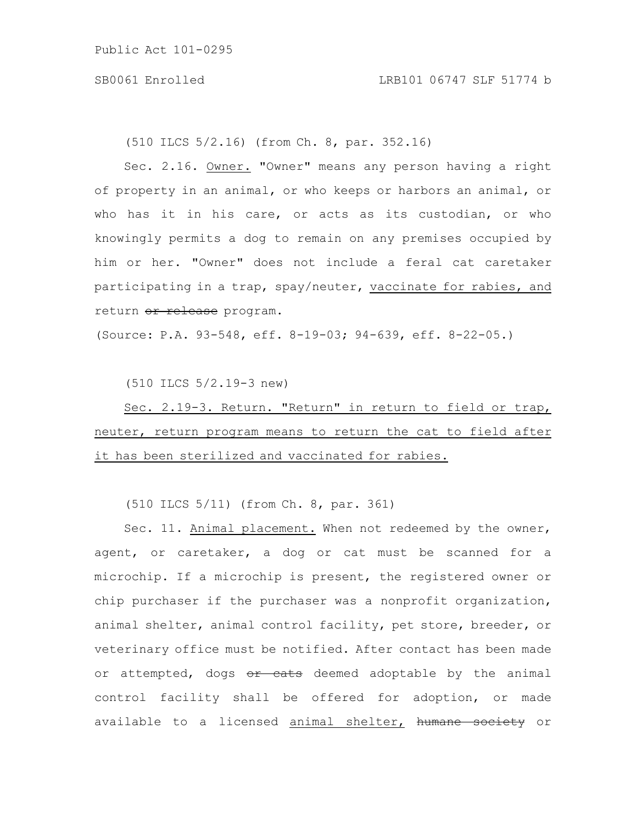(510 ILCS 5/2.16) (from Ch. 8, par. 352.16)

Sec. 2.16. Owner. "Owner" means any person having a right of property in an animal, or who keeps or harbors an animal, or who has it in his care, or acts as its custodian, or who knowingly permits a dog to remain on any premises occupied by him or her. "Owner" does not include a feral cat caretaker participating in a trap, spay/neuter, vaccinate for rabies, and return or release program.

(Source: P.A. 93-548, eff. 8-19-03; 94-639, eff. 8-22-05.)

(510 ILCS 5/2.19-3 new)

Sec. 2.19-3. Return. "Return" in return to field or trap, neuter, return program means to return the cat to field after it has been sterilized and vaccinated for rabies.

(510 ILCS 5/11) (from Ch. 8, par. 361)

Sec. 11. Animal placement. When not redeemed by the owner, agent, or caretaker, a dog or cat must be scanned for a microchip. If a microchip is present, the registered owner or chip purchaser if the purchaser was a nonprofit organization, animal shelter, animal control facility, pet store, breeder, or veterinary office must be notified. After contact has been made or attempted, dogs or cats deemed adoptable by the animal control facility shall be offered for adoption, or made available to a licensed animal shelter, humane society or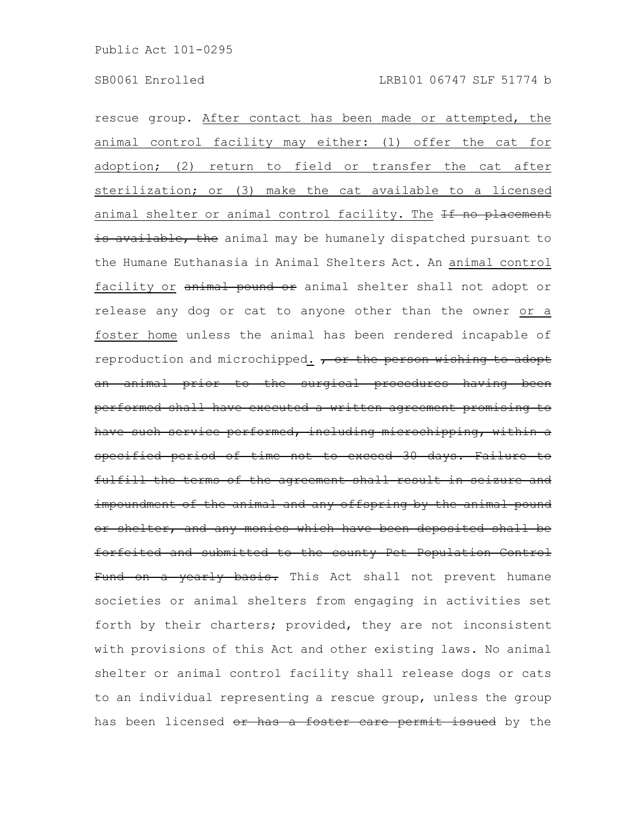rescue group. After contact has been made or attempted, the animal control facility may either: (1) offer the cat for adoption; (2) return to field or transfer the cat after sterilization; or (3) make the cat available to a licensed animal shelter or animal control facility. The If no placement is available, the animal may be humanely dispatched pursuant to the Humane Euthanasia in Animal Shelters Act. An animal control facility or animal pound or animal shelter shall not adopt or release any dog or cat to anyone other than the owner or a foster home unless the animal has been rendered incapable of reproduction and microchipped. , or the person wishing to adopt an animal prior to the surgical procedures having been performed shall have executed a written agreement promising to have such service performed, including microchipping, within a specified period of time not to exceed 30 days. Failure to fulfill the terms of the agreement shall result in seizure and impoundment of the animal and any offspring by the animal pound or shelter, and any monies which have been deposited shall be forfeited and submitted to the county Pet Population Control Fund on a yearly basis. This Act shall not prevent humane societies or animal shelters from engaging in activities set forth by their charters; provided, they are not inconsistent with provisions of this Act and other existing laws. No animal shelter or animal control facility shall release dogs or cats to an individual representing a rescue group, unless the group has been licensed or has a foster care permit issued by the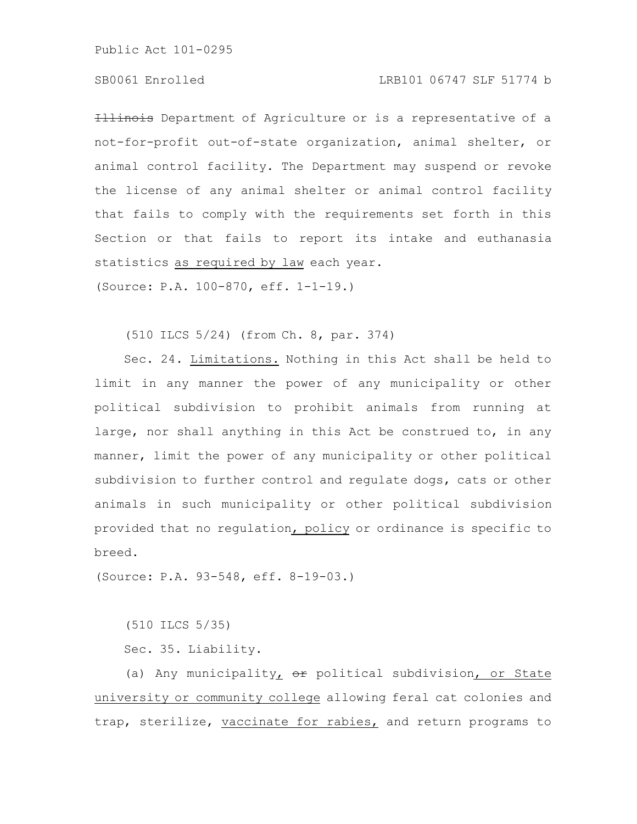## SB0061 Enrolled LRB101 06747 SLF 51774 b

**Illinois** Department of Agriculture or is a representative of a not-for-profit out-of-state organization, animal shelter, or animal control facility. The Department may suspend or revoke the license of any animal shelter or animal control facility that fails to comply with the requirements set forth in this Section or that fails to report its intake and euthanasia statistics as required by law each year.

(Source: P.A. 100-870, eff. 1-1-19.)

(510 ILCS 5/24) (from Ch. 8, par. 374)

Sec. 24. Limitations. Nothing in this Act shall be held to limit in any manner the power of any municipality or other political subdivision to prohibit animals from running at large, nor shall anything in this Act be construed to, in any manner, limit the power of any municipality or other political subdivision to further control and regulate dogs, cats or other animals in such municipality or other political subdivision provided that no regulation, policy or ordinance is specific to breed.

(Source: P.A. 93-548, eff. 8-19-03.)

(510 ILCS 5/35)

Sec. 35. Liability.

(a) Any municipality<sub> $I$ </sub>  $\Theta$ <sup>x</sup> political subdivision<sub> $I$ </sub> or State university or community college allowing feral cat colonies and trap, sterilize, vaccinate for rabies, and return programs to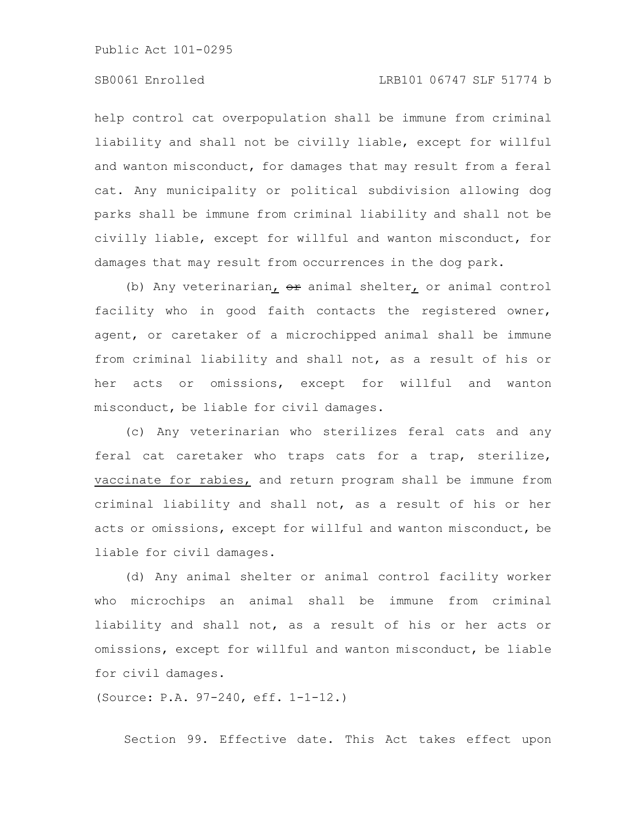help control cat overpopulation shall be immune from criminal liability and shall not be civilly liable, except for willful and wanton misconduct, for damages that may result from a feral cat. Any municipality or political subdivision allowing dog parks shall be immune from criminal liability and shall not be civilly liable, except for willful and wanton misconduct, for damages that may result from occurrences in the dog park.

(b) Any veterinarian,  $e^{i\phi}$  animal shelter, or animal control facility who in good faith contacts the registered owner, agent, or caretaker of a microchipped animal shall be immune from criminal liability and shall not, as a result of his or her acts or omissions, except for willful and wanton misconduct, be liable for civil damages.

(c) Any veterinarian who sterilizes feral cats and any feral cat caretaker who traps cats for a trap, sterilize, vaccinate for rabies, and return program shall be immune from criminal liability and shall not, as a result of his or her acts or omissions, except for willful and wanton misconduct, be liable for civil damages.

(d) Any animal shelter or animal control facility worker who microchips an animal shall be immune from criminal liability and shall not, as a result of his or her acts or omissions, except for willful and wanton misconduct, be liable for civil damages.

(Source: P.A. 97-240, eff. 1-1-12.)

Section 99. Effective date. This Act takes effect upon